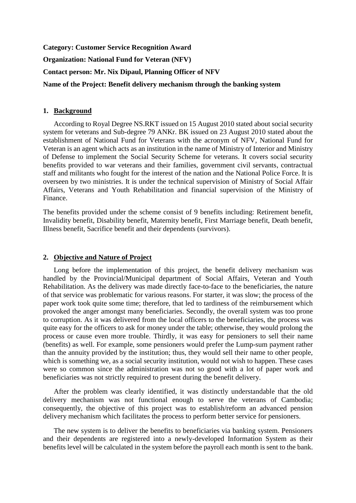**Category: Customer Service Recognition Award Organization: National Fund for Veteran (NFV) Contact person: Mr. Nix Dipaul, Planning Officer of NFV Name of the Project: Benefit delivery mechanism through the banking system** 

## **1. Background**

According to Royal Degree NS.RKT issued on 15 August 2010 stated about social security system for veterans and Sub-degree 79 ANKr. BK issued on 23 August 2010 stated about the establishment of National Fund for Veterans with the acronym of NFV, National Fund for Veteran is an agent which acts as an institution in the name of Ministry of Interior and Ministry of Defense to implement the Social Security Scheme for veterans. It covers social security benefits provided to war veterans and their families, government civil servants, contractual staff and militants who fought for the interest of the nation and the National Police Force. It is overseen by two ministries. It is under the technical supervision of Ministry of Social Affair Affairs, Veterans and Youth Rehabilitation and financial supervision of the Ministry of Finance.

The benefits provided under the scheme consist of 9 benefits including: Retirement benefit, Invalidity benefit, Disability benefit, Maternity benefit, First Marriage benefit, Death benefit, Illness benefit, Sacrifice benefit and their dependents (survivors).

## **2. Objective and Nature of Project**

Long before the implementation of this project, the benefit delivery mechanism was handled by the Provincial/Municipal department of Social Affairs, Veteran and Youth Rehabilitation. As the delivery was made directly face-to-face to the beneficiaries, the nature of that service was problematic for various reasons. For starter, it was slow; the process of the paper work took quite some time; therefore, that led to tardiness of the reimbursement which provoked the anger amongst many beneficiaries. Secondly, the overall system was too prone to corruption. As it was delivered from the local officers to the beneficiaries, the process was quite easy for the officers to ask for money under the table; otherwise, they would prolong the process or cause even more trouble. Thirdly, it was easy for pensioners to sell their name (benefits) as well. For example, some pensioners would prefer the Lump-sum payment rather than the annuity provided by the institution; thus, they would sell their name to other people, which is something we, as a social security institution, would not wish to happen. These cases were so common since the administration was not so good with a lot of paper work and beneficiaries was not strictly required to present during the benefit delivery.

After the problem was clearly identified, it was distinctly understandable that the old delivery mechanism was not functional enough to serve the veterans of Cambodia; consequently, the objective of this project was to establish/reform an advanced pension delivery mechanism which facilitates the process to perform better service for pensioners.

The new system is to deliver the benefits to beneficiaries via banking system. Pensioners and their dependents are registered into a newly-developed Information System as their benefits level will be calculated in the system before the payroll each month is sent to the bank.